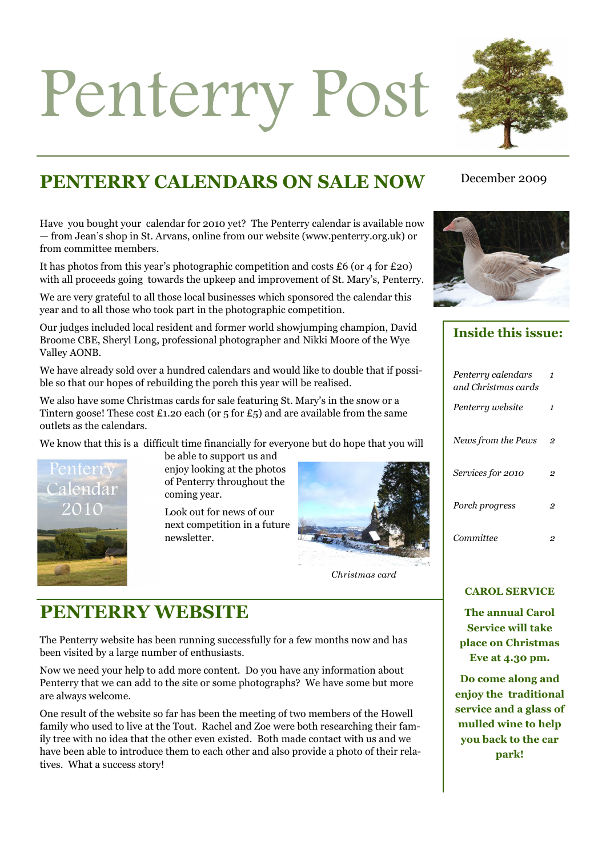# Penterry Post



# **PENTERRY CALENDARS ON SALE NOW**

Have you bought your calendar for 2010 yet? The Penterry calendar is available now — from Jean's shop in St. Arvans, online from our website (www.penterry.org.uk) or from committee members.

It has photos from this year's photographic competition and costs  $\pounds 6$  (or 4 for  $\pounds 20$ ) with all proceeds going towards the upkeep and improvement of St. Mary's, Penterry.

We are very grateful to all those local businesses which sponsored the calendar this year and to all those who took part in the photographic competition.

Our judges included local resident and former world showjumping champion, David Broome CBE, Sheryl Long, professional photographer and Nikki Moore of the Wye Valley AONB.

We have already sold over a hundred calendars and would like to double that if possible so that our hopes of rebuilding the porch this year will be realised.

We also have some Christmas cards for sale featuring St. Mary's in the snow or a Tintern goose! These cost £1.20 each (or  $5$  for  $£5$ ) and are available from the same outlets as the calendars.

We know that this is a difficult time financially for everyone but do hope that you will



be able to support us and enjoy looking at the photos of Penterry throughout the coming year.

Look out for news of our next competition in a future newsletter.



*Christmas card* 

# **PENTERRY WEBSITE**

The Penterry website has been running successfully for a few months now and has been visited by a large number of enthusiasts.

Now we need your help to add more content. Do you have any information about Penterry that we can add to the site or some photographs? We have some but more are always welcome.

One result of the website so far has been the meeting of two members of the Howell family who used to live at the Tout. Rachel and Zoe were both researching their family tree with no idea that the other even existed. Both made contact with us and we have been able to introduce them to each other and also provide a photo of their relatives. What a success story!

## December 2009



**Inside this issue:** 

| Penterry calendars<br>and Christmas cards | 1 |
|-------------------------------------------|---|
| Penterry website                          | 1 |
| News from the Pews                        | 2 |
| Services for 2010                         | 2 |
| Porch progress                            | 2 |
| Committee                                 |   |
|                                           |   |

#### **CAROL SERVICE**

**The annual Carol Service will take place on Christmas Eve at 4.30 pm.** 

**Do come along and enjoy the traditional service and a glass of mulled wine to help you back to the car park!**